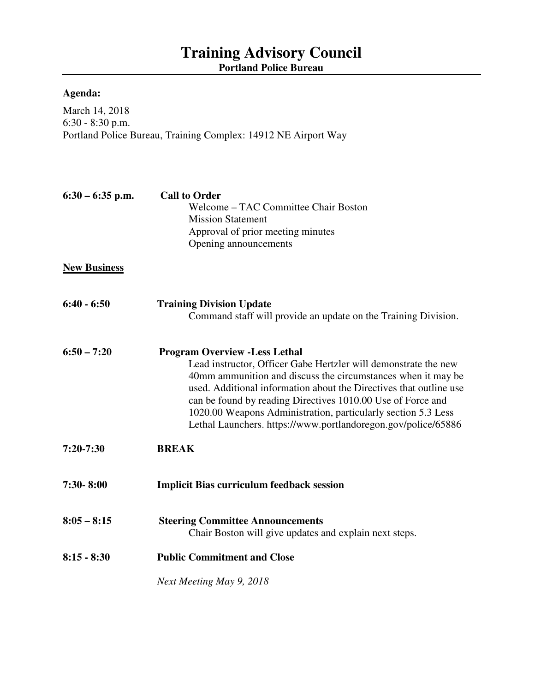## **Training Advisory Council Portland Police Bureau**

## **Agenda:**

March 14, 2018 6:30 - 8:30 p.m. Portland Police Bureau, Training Complex: 14912 NE Airport Way

| $6:30 - 6:35$ p.m.  | <b>Call to Order</b><br>Welcome – TAC Committee Chair Boston<br><b>Mission Statement</b><br>Approval of prior meeting minutes<br>Opening announcements                                                                                                                                                                                                                                                                                          |
|---------------------|-------------------------------------------------------------------------------------------------------------------------------------------------------------------------------------------------------------------------------------------------------------------------------------------------------------------------------------------------------------------------------------------------------------------------------------------------|
| <b>New Business</b> |                                                                                                                                                                                                                                                                                                                                                                                                                                                 |
| $6:40 - 6:50$       | <b>Training Division Update</b><br>Command staff will provide an update on the Training Division.                                                                                                                                                                                                                                                                                                                                               |
| $6:50 - 7:20$       | <b>Program Overview - Less Lethal</b><br>Lead instructor, Officer Gabe Hertzler will demonstrate the new<br>40mm ammunition and discuss the circumstances when it may be<br>used. Additional information about the Directives that outline use<br>can be found by reading Directives 1010.00 Use of Force and<br>1020.00 Weapons Administration, particularly section 5.3 Less<br>Lethal Launchers. https://www.portlandoregon.gov/police/65886 |
| $7:20-7:30$         | <b>BREAK</b>                                                                                                                                                                                                                                                                                                                                                                                                                                    |
| 7:30-8:00           | <b>Implicit Bias curriculum feedback session</b>                                                                                                                                                                                                                                                                                                                                                                                                |
| $8:05 - 8:15$       | <b>Steering Committee Announcements</b><br>Chair Boston will give updates and explain next steps.                                                                                                                                                                                                                                                                                                                                               |
| $8:15 - 8:30$       | <b>Public Commitment and Close</b>                                                                                                                                                                                                                                                                                                                                                                                                              |
|                     | Next Meeting May 9, 2018                                                                                                                                                                                                                                                                                                                                                                                                                        |